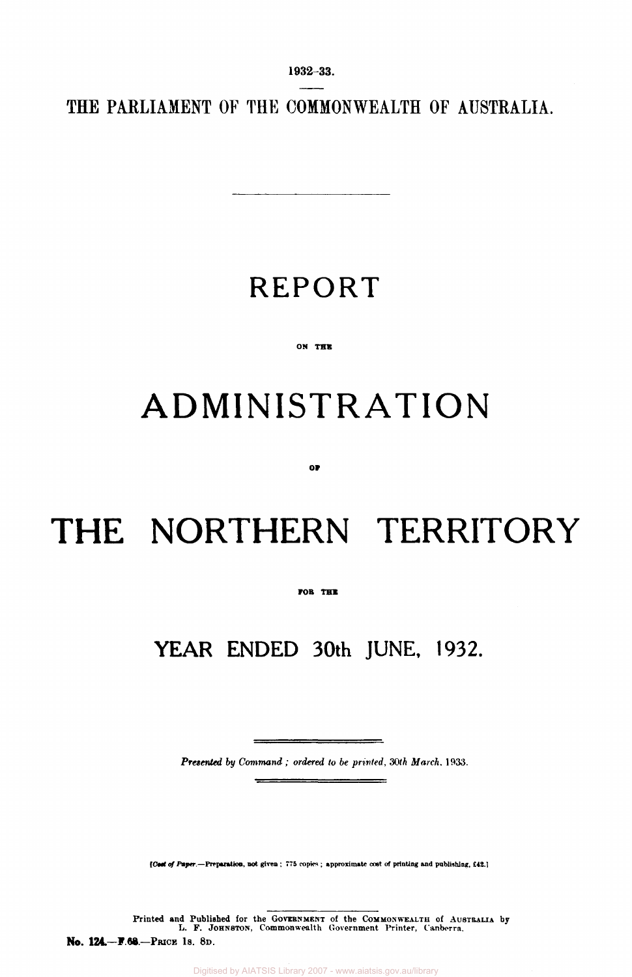**1932-33.** 

**THE PARLIAMENT OF THE COMMONWEALTH OF AUSTRALIA.** 

### **REPORT**

#### **ON THE**

## **ADMINISTRATION**

**or** 

# **THE NORTHERN TERRITORY**

#### **FOB THE**

### **YEAR ENDED 30th JUNE, 1932.**

*Presented by Command ; ordered to be printed, 30th March,* 1933.

 $\equiv$ 

*[Cost of Paper.***—Preparation, not given ; 775 copies ; approximate cost of printing and publishing, £42-1** 

Printed and Published for the GOVERNMENT of the COMMONWEALTH of AUSTRALIA by L. F. JOHNSTON, Commonwealth Government Printer, Canberra. **No. 124.—F.68.—PRICE IS. 8D.**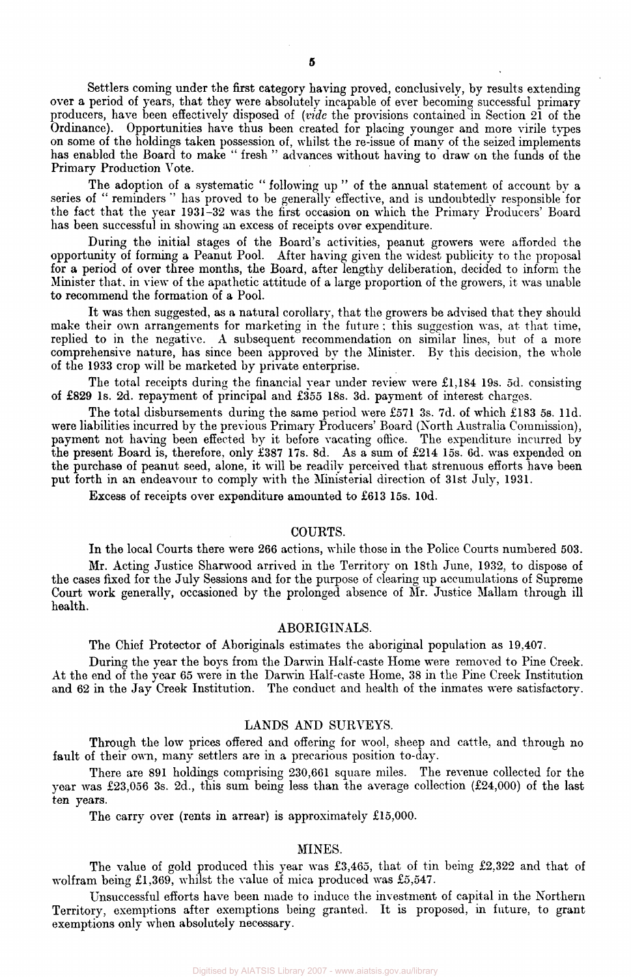Settlers coming under the first category having proved, conclusively, by results extending over a period of years, that they were absolutely incapable of ever becoming successful primary producers, have been effectively disposed of *(vide* the provisions contained in Section 21 of the Ordinance). Opportunities have thus been created for placing younger and more virile types on some of the holdings taken possession of, whilst the re-issue of many of the seized implements has enabled the Board to make " fresh " advances without having to draw on the funds of the Primary Production Vote.

The adoption of a systematic " following up " of the annual statement of account by a series of " reminders " has proved to be generally effective, and is undoubtedly responsible for the fact that the year 1931-32 was the first occasion on which the Primary Producers' Board has been successful in showing an excess of receipts over expenditure.

During the initial stages of the Board's activities, peanut growers were afforded the opportunity of forming a Peanut Pool. After having given the widest publicity to the proposal for a period of over three months, the Board, after lengthy deliberation, decided to inform the Minister that, in view of the apathetic attitude of a large proportion of the growers, it was unable to recommend the formation of a Pool.

It was then suggested, as a natural corollary, that the growers be advised that they should make their own arrangements for marketing in the future : this suggestion was, at that time, replied to in the negative. A subsequent recommendation on similar lines, but of a more comprehensive nature, has since been approved by the Minister. By this decision, the whole of the 1933 crop will be marketed by private enterprise.

The total receipts during the financial year under review were £1,184 19s. 5d. consisting of £829 Is. 2d. repayment of principal and £355 18s. 3d. payment of interest charges.

The total disbursements during the same period were £571 3s. 7d. of which £183 5s. l1d. were liabilities incurred by the previous Primary Producers' Board (North Australia Commission), payment not having been effected by it before vacating office. The expenditure incurred by the present Board is, therefore, only £387 17s. 8d. As a sum of £214 15s. 6d. was expended on the purchase of peanut seed, alone, it will be readily perceived that strenuous efforts have been put forth in an endeavour to comply with the Ministerial direction of 31st July, 1931.

Excess of receipts over expenditure amounted to £613 15s. 10d.

#### COURTS.

In the local Courts there were 266 actions, while those in the Police Courts numbered 503.

Mr. Acting Justice Sharwood arrived in the Territory on 18th June, 1932, to dispose of the cases fixed for the July Sessions and for the purpose of clearing up accumulations of Supreme Court work generally, occasioned by the prolonged absence of Mr. Justice Mallam through ill health.

#### ABORIGINALS.

The Chief Protector of Aboriginals estimates the aboriginal population as 19,407.

During the year the boys from the Darwin Half-caste Home were removed to Pine Creek. At the end of the year 65 were in the Darwin Half-caste Home, 38 in the Pine Creek Institution and 62 in the Jay Creek Institution. The conduct and health of the inmates were satisfactory.

#### LANDS AND SURVEYS.

Through the low prices offered and offering for wool, sheep and cattle, and through no fault of their own, many settlers are in a precarious position to-day.

There are 891 holdings comprising 230,661 square miles. The revenue collected for the year was £23,056 3s. 2d., this sum being less than the average collection (£24,000) of the last ten years.

The carry over (rents in arrear) is approximately £15,000.

#### MINES.

The value of gold produced this year was £3,465, that of tin being £2,322 and that of wolfram being £1,369, whilst the value of mica produced was £5,547.

Unsuccessful efforts have been made to induce the investment of capital in the Northern Territory, exemptions after exemptions being granted. It is proposed, in future, to grant exemptions only when absolutely necessary.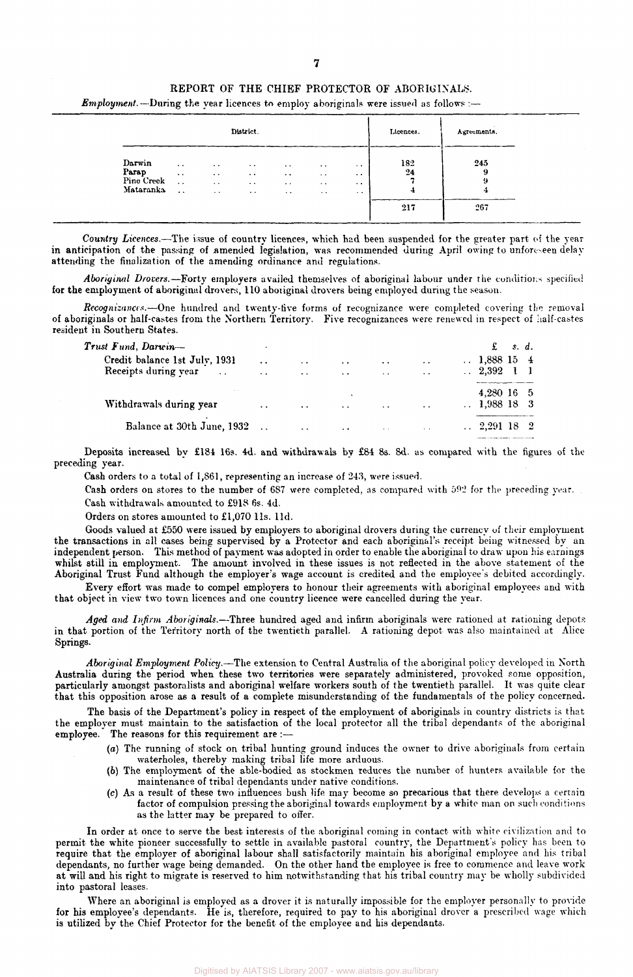#### REPORT OF THE CHIEF PROTECTOR OF ABORIGINALS.

*Employment.*—During the year licences to employ aboriginals were issued as follows :—

|                                            |                                                          |                                                        | District.                                                |                                                                       |                                                               | Licences.                                                          | Agreements.    |                |  |
|--------------------------------------------|----------------------------------------------------------|--------------------------------------------------------|----------------------------------------------------------|-----------------------------------------------------------------------|---------------------------------------------------------------|--------------------------------------------------------------------|----------------|----------------|--|
| Darwin<br>Parap<br>Pine Creek<br>Mataranka | $\sim$ $\sim$<br>$\ddotsc$<br>$\sim$ $\sim$<br>$\ddotsc$ | $\cdots$<br>$\cdots$<br>$\sim$ $\sim$<br>$\sim$ $\sim$ | $\cdots$<br>$\cdot$ .<br>$\cdots$<br>$\bullet$ $\bullet$ | $\cdot$ $\cdot$<br>$\cdots$<br>$\bullet$ $\bullet$<br>$\cdot$ $\cdot$ | $\cdots$<br>$\sim$ $\sim$<br>$\sim$ $\sim$<br>$\cdot$ $\cdot$ | $\cdot$ $\cdot$<br>$\cdot$ $\cdot$<br>$\cdot$ .<br>$\cdot$ $\cdot$ | 182<br>24<br>4 | 245<br>-9<br>я |  |
|                                            |                                                          |                                                        |                                                          |                                                                       |                                                               |                                                                    | 217            | 267            |  |

*Country Licences.*—The issue of country licences, which had been suspended for the greater part of the year in anticipation of the passing of amended legislation, was recommended during April owing to unforeseen delay attending the finalization of the amending ordinance and regulations.

*Aboriginal Drovers.*—Forty employers availed themselves of aboriginal labour under the conditions specified for the employment of aboriginal drovers, 110 aboriginal drovers being employed during the season.

*Recognizances.*—One hundred and twenty-five forms of recognizance were completed covering the removal of aboriginals or half-castes from the Northern Territory. Five recognizances were renewed in respect of half-castes resident in Southern States.

|                      |                      |                      |           |                      | £ |                                                                                                                |
|----------------------|----------------------|----------------------|-----------|----------------------|---|----------------------------------------------------------------------------------------------------------------|
| $\ddot{\phantom{0}}$ | $\sim$               | $\ddot{\phantom{0}}$ | $\sim$    | $\cdots$             |   |                                                                                                                |
| $\ddot{\phantom{a}}$ | $\ddot{\phantom{a}}$ | $\ddot{\phantom{0}}$ | $\cdot$ . | $\ddot{\phantom{1}}$ |   |                                                                                                                |
|                      |                      |                      |           |                      |   |                                                                                                                |
| $\ddotsc$            | $\ddot{\phantom{1}}$ | $\ddot{\phantom{0}}$ | $\sim$    | $\sim$ $\sim$        |   |                                                                                                                |
|                      | $\ddotsc$            | $\cdot$ $\cdot$      |           | $\sim$ $\sim$        |   |                                                                                                                |
|                      |                      |                      |           |                      |   | s.d.<br>$\therefore$ 1,888 15 4<br>2.392 1 1<br>4,280 16 5<br>$\therefore$ 1,988 18 3<br>$\therefore$ 2,291 18 |

Deposits increased by £184 16s. 4d. and withdrawals by £84 8s. 8d. as compared with the figures of the preceding year.

Cash orders to a total of 1,861, representing an increase of 243, were issued.

Cash orders on stores to the number of 6S7 were completed, as compared with 592 for the preceding year.

Cash withdrawals amounted to £918 6s. 4d.

Orders on stores amounted to £1,070 l1s. l1d.

Goods valued at £550 were issued by employers to aboriginal drovers during the currency of their employment the transactions in all cases being supervised by a Protector and each aboriginal's receipt being witnessed by an independent person. This method of payment was adopted in order to enable the aboriginal to draw upon his earnings whilst still in employment. The amount involved in these issues is not reflected in the above statement of the Aboriginal Trust Fund although the employer's wage account is credited and the employee's debited accordingly.

Every effort was made to compel employers to honour their agreements with aboriginal employees and with that object in view two town licences and one country licence were cancelled during the year.

*Aged and Infirm Aboriginals.*—Three hundred aged and infirm aboriginals were rationed at rationing depots in that portion of the Territory north of the twentieth parallel. A rationing depot was also maintained at Alice Springs.

*Aboriginal Employment Policy.—*The extension to Central Australia of the aboriginal policy developed in North Australia during the period when these two territories were separately administered, provoked some opposition, particularly amongst pastoralists and aboriginal welfare workers south of the twentieth parallel. It was quite clear that this opposition arose as a result of a complete misunderstanding of the fundamentals of the policy concerned.

The basis of the Department's policy in respect of the employment of aboriginals in country districts is that the employer must maintain to the satisfaction of the local protector all the tribal dependants of the aboriginal employee. The reasons for this requirement are :--

- (a) The running of stock on tribal hunting ground induces the owner to drive aboriginals from certain waterholes, thereby making tribal life more arduous.
- *(b)* The employment of the able-bodied as stockmen reduces the number of hunters available for the maintenance of tribal dependants under native conditions.
- (c) As a result of these two influences bush life may become so precarious that there develops a certain factor of compulsion pressing the aboriginal towards employment by a white man on such conditions as the latter may be prepared to offer.

In order at once to serve the best interests of the aboriginal coming in contact with white civilization and to permit the white pioneer successfully to settle in available pastoral country, the Department's policy has been to require that the employer of aboriginal labour shall satisfactorily maintain his aboriginal employee and his tribal dependants, no further wage being demanded. On the other hand the employee is free to commence and leave work at will and his right to migrate is reserved to him notwithstanding that his tribal country may be wholly subdivided into pastoral leases.

Where an aboriginal is employed as a drover it is naturally impossible for the employer personally to provide for his employee's dependants. He is, therefore, required to pay to his aboriginal drover a prescribed wage which is utilized by the Chief Protector for the benefit of the employee and his dependants.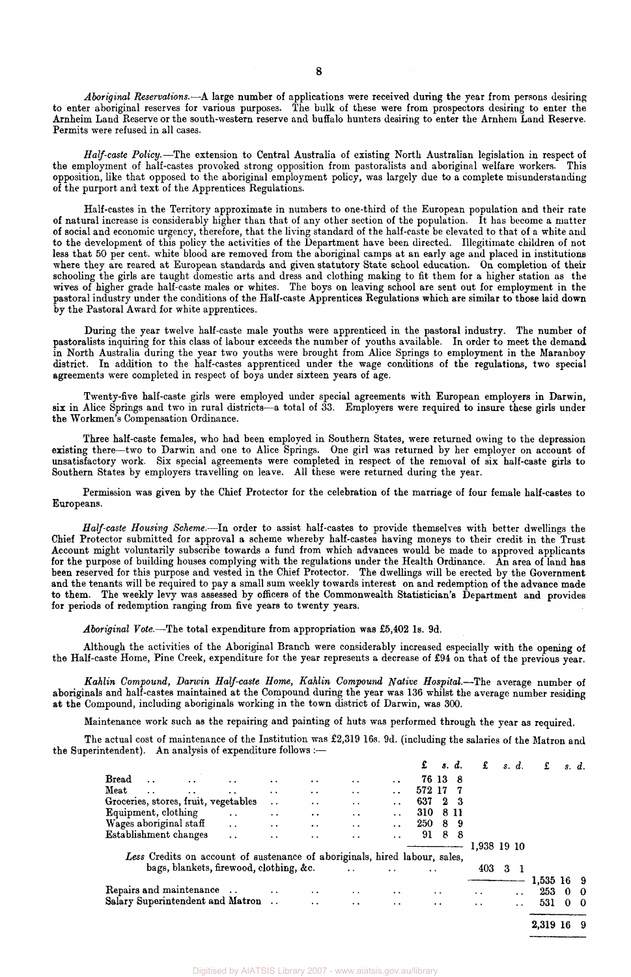*Aboriginal Reservations.*—A large number of applications were received during the year from persons desiring to enter aboriginal reserves for various purposes. The bulk of these were from prospectors desiring to enter the Arnheim Land Reserve or the south-western reserve and buffalo hunters desiring to enter the Arnhem Land Reserve. Permits were refused in all cases.

*Half-caste Policy.*—The extension to Central Australia of existing North Australian legislation in respect of the employment of half-castes provoked strong opposition from pastoralists and aboriginal welfare workers. This opposition, like that opposed to the aboriginal employment policy, was largely due to a complete misunderstanding of the purport and text of the Apprentices Regulations.

Half-castes in the Territory approximate in numbers to one-third of the European population and their rate of natural increase is considerably higher than that of any other section of the population. It has become a matter of social and economic urgency, therefore, that the living standard of the half-caste be elevated to that of a white and to the development of this policy the activities of the Department have been directed. Illegitimate children of not less that 50 per cent, white blood are removed from the aboriginal camps at an early age and placed in institutions where they are reared at European standards and given statutory State school education. On completion of their schooling the girls are taught domestic arts and dress and clothing making to fit them for a higher station as the wives of higher grade half-caste males or whites. The boys on leaving school are sent out for employment in the pastoral industry under the conditions of the Half-caste Apprentices Regulations which are similar to those laid down by the Pastoral Award for white apprentices.

During the year twelve half-caste male youths were apprenticed in the pastoral industry. The number of pastoralists inquiring for this class of labour exceeds the number of youths available. In order to meet the demand in North Australia during the year two youths were brought from Alice Springs to employment in the Maranboy district. In addition to the half-castes apprenticed under the wage conditions of the regulations, two special agreements were completed in respect of boys under sixteen years of age.

Twenty-five half-caste girls were employed under special agreements with European employers in Darwin, six in Alice Springs and two in rural districts—a total of 33. Employers were required to insure these girls under the Workmen's Compensation Ordinance.

Three half-caste females, who had been employed in Southern States, were returned owing to the depression existing there—two to Darwin and one to Alice Springs. One girl was returned by her employer on account of unsatisfactory work. Six special agreements were completed in respect of the removal of six half-caste girls to Southern States by employers travelling on leave. All these were returned during the year.

Permission was given by the Chief Protector for the celebration of the marriage of four female half-castes to Europeans.

*Half-caste Housing Scheme.*—In order to assist half-castes to provide themselves with better dwellings the Chief Protector submitted for approval a scheme whereby half-castes having moneys to their credit in the Trust Account might voluntarily subscribe towards a fund from which advances would be made to approved applicants for the purpose of building houses complying with the regulations under the Health Ordinance. An area of land has been reserved for this purpose and vested in the Chief Protector. The dwellings will be erected by the Government and the tenants will be required to pay a small sum weekly towards interest on and redemption of the advance made to them. The weekly levy was assessed by officers of the Commonwealth Statistician's Department and provides for periods of redemption ranging from five years to twenty years.

*Aboriginal Vote.*—The total expenditure from appropriation was £5,402 Is. 9d.

Although the activities of the Aboriginal Branch were considerably increased especially with the opening of the Half-caste Home, Pine Creek, expenditure for the year represents a decrease of £94 on that of the previous year.

*Kahlin Compound, Darwin Half-caste Home, Kahlin Compound Native Hospital.*—The average number of aboriginals and half-castes maintained at the Compound during the year was 136 whilst the average number residing at the Compound, including aboriginals working in the town district of Darwin, was 300.

Maintenance work such as the repairing and painting of huts was performed through the year as required.

The actual cost of maintenance of the Institution was £2,319 16s. 9d. (including the salaries of the Matron and the Superintendent). An analysis of expenditure follows :—

|                                                                            |                      |                      |                      |                      |                      | £                    |                     | s. d. | £           |   | s. d.                | £        |    | s. d.      |
|----------------------------------------------------------------------------|----------------------|----------------------|----------------------|----------------------|----------------------|----------------------|---------------------|-------|-------------|---|----------------------|----------|----|------------|
| <b>Bread</b><br>$\ddot{\phantom{a}}$                                       |                      | $\cdot$              | $\cdot$ $\cdot$      | . .                  | $\ddot{\phantom{0}}$ |                      | 76 13               | - 8   |             |   |                      |          |    |            |
| Meat<br>$\ddot{\phantom{a}}$<br>$\ddot{\phantom{0}}$                       | $\ddot{\phantom{0}}$ | $\ddot{\phantom{0}}$ | $\ddot{\phantom{0}}$ | $\ddot{\phantom{1}}$ | $\ddot{\phantom{0}}$ | 572 17               |                     |       |             |   |                      |          |    |            |
| Groceries, stores, fruit, vegetables                                       |                      | $\cdot$ $\cdot$      | $\ddot{\phantom{0}}$ | $\ddot{\phantom{0}}$ | $\ddot{\phantom{1}}$ | 637                  |                     | 23    |             |   |                      |          |    |            |
| Equipment, clothing                                                        | $\ddot{\phantom{0}}$ | $\ddot{\phantom{0}}$ | $\ddot{\phantom{a}}$ | $\ddot{\phantom{0}}$ | $\ddot{\phantom{0}}$ | 310                  |                     | 8 11  |             |   |                      |          |    |            |
| Wages aboriginal staff                                                     | $\ddot{\phantom{0}}$ | $\ddot{\phantom{0}}$ | $\ddot{\phantom{a}}$ | $\ddot{\phantom{0}}$ | $\ddot{\phantom{0}}$ | 250                  |                     | 89    |             |   |                      |          |    |            |
| Establishment changes                                                      | $\ddot{\phantom{0}}$ | $\ddot{\phantom{0}}$ | $\ddot{\bullet}$     | $\ddot{\phantom{0}}$ | $\ddot{\phantom{0}}$ | 91                   |                     | 88    |             |   |                      |          |    |            |
|                                                                            |                      |                      |                      |                      |                      |                      |                     |       | 1,938 19 10 |   |                      |          |    |            |
| Less Credits on account of sustenance of aboriginals, hired labour, sales, |                      |                      |                      |                      |                      |                      |                     |       |             |   |                      |          |    |            |
| bags, blankets, firewood, clothing, &c.                                    |                      |                      |                      | $\ddot{\phantom{0}}$ | $\ddot{\phantom{a}}$ | $\ddot{\phantom{0}}$ |                     |       | 403         | 3 | -1                   |          |    |            |
|                                                                            |                      |                      |                      |                      |                      |                      |                     |       |             |   |                      | 1,535    | 16 | - 9        |
| Repairs and maintenance                                                    |                      | $\ddot{\phantom{0}}$ | $\ddot{\phantom{0}}$ | $\ddot{\phantom{1}}$ | $\ddot{\phantom{1}}$ |                      | $\bullet$ $\bullet$ |       | $\cdot$ .   |   | $\ddot{\phantom{a}}$ | 253      |    | $0\quad 0$ |
| Salary Superintendent and Matron                                           |                      |                      | $\ddot{\phantom{0}}$ | $\ddot{\phantom{0}}$ | $\ddot{\phantom{1}}$ |                      | $\cdot$ .           |       | $\cdot$ .   |   | $\ddot{\phantom{a}}$ | 531      |    | $0\quad 0$ |
|                                                                            |                      |                      |                      |                      |                      |                      |                     |       |             |   |                      | 2,319 16 |    | - 9        |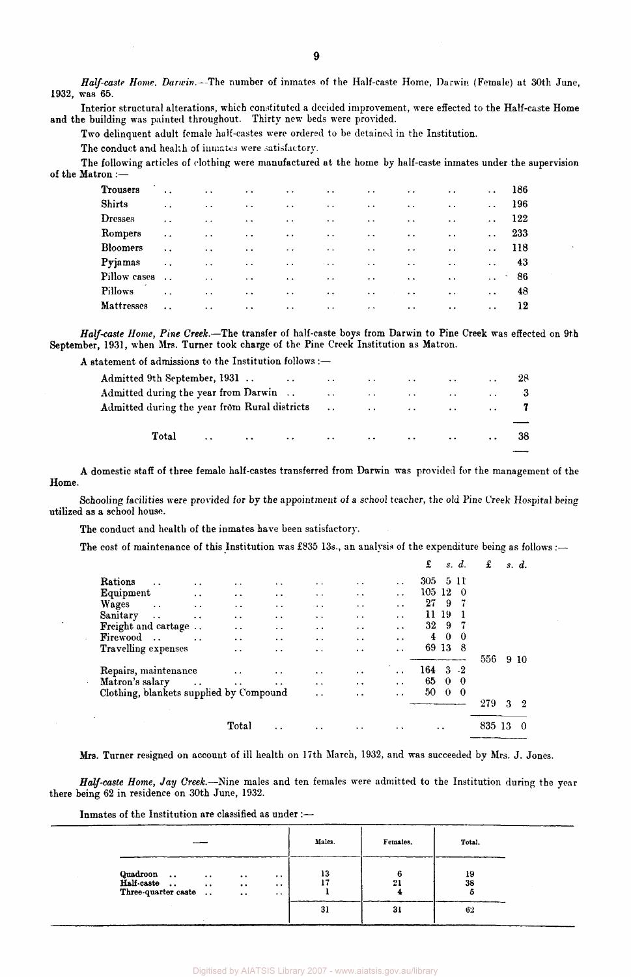Half-caste Home. Darwin.--The number of inmates of the Half-caste Home, Darwin (Female) at 30th June, 1932, was 65.

Interior structural alterations, which constituted a decided improvement, were effected to the Half-caste Home and the building was painted throughout. Thirty new beds were provided.

Two delinquent adult female half-castes were ordered to be detained in the Institution.

The conduct and health of inmates were satisfactory.

The following articles of clothing were manufactured at the home by half-caste inmates under the supervision of the Matron :—

| <b>Trousers</b>   | $\ddot{\phantom{a}}$   | $\ddot{\phantom{a}}$ | $\sim$ $\sim$        | $\ddotsc$            | $\sim$ $\sim$        | $\ddot{\phantom{1}}$ . | $\ddotsc$            | $\ddot{\phantom{0}}$ | $\ddot{\phantom{0}}$ | 186 |
|-------------------|------------------------|----------------------|----------------------|----------------------|----------------------|------------------------|----------------------|----------------------|----------------------|-----|
| <b>Shirts</b>     | $\ddot{\phantom{a}}$   | $\ddot{\phantom{0}}$ | $\ddot{\phantom{a}}$ | $\ddot{\phantom{0}}$ | $\ddot{\phantom{a}}$ | $\ddot{\phantom{a}}$   | $\ddot{\phantom{a}}$ | $\ddot{\phantom{a}}$ | $\ddot{\phantom{0}}$ | 196 |
| <b>Dresses</b>    | $\ddotsc$              | $\ddot{\phantom{0}}$ | $\ddot{\phantom{a}}$ | $\ddot{\phantom{0}}$ | $\ddotsc$            | $\ddot{\phantom{a}}$   | $\ddot{\phantom{0}}$ | $\ddot{\phantom{a}}$ | $\ddot{\phantom{0}}$ | 122 |
| Rompers           | $\ddot{\phantom{a}}$   | $\ddot{\phantom{a}}$ | $\sim$ .             | $\ddot{\phantom{a}}$ | $\ddot{\phantom{a}}$ | $\ddot{\phantom{a}}$   | $\ddot{\phantom{a}}$ | $\ddot{\phantom{a}}$ | $\ddot{\phantom{a}}$ | 233 |
| <b>Bloomers</b>   | $\ddotsc$              | $\ddot{\phantom{a}}$ | $\ddotsc$            | $\ddot{\phantom{0}}$ | $\sim$ $\sim$        | $\sim$ $\sim$          | $\ddotsc$            | $\ddotsc$            | $\ddotsc$            | 118 |
| Pyjamas           | $\ddot{\phantom{a}}$ . | $\ddot{\phantom{0}}$ | $\ddotsc$            | $\ddot{\phantom{a}}$ | $\ddotsc$            | $\ddotsc$              | $\ddot{\phantom{a}}$ | $\ddot{\phantom{a}}$ | $\ddotsc$            | 43  |
| Pillow cases      | $\ddot{\phantom{a}}$   | $\ddot{\phantom{0}}$ | $\ddotsc$            | $\ddot{\phantom{0}}$ | $\ddot{\phantom{a}}$ | $\ddotsc$              | $\ddot{\phantom{0}}$ | $\ddot{\phantom{0}}$ | $\ddot{\phantom{a}}$ | -86 |
| Pillows           | $\ddot{\phantom{a}}$   | $\ddotsc$            | $\ddot{\phantom{1}}$ | $\ddot{\phantom{0}}$ | $\ddot{\phantom{a}}$ | $\ddotsc$              | $\ddot{\phantom{0}}$ | $\ddot{\phantom{0}}$ | $\ddot{\phantom{1}}$ | 48  |
| <b>Mattresses</b> | $\ddot{\phantom{a}}$   | $\ddotsc$            | $\ddot{\phantom{0}}$ | $\ddot{\phantom{0}}$ | $\ddot{\phantom{a}}$ | $\ddot{\phantom{0}}$   | $\ddot{\phantom{a}}$ | $\ddot{\phantom{a}}$ | $\ddotsc$            | 12  |

*Half-caste Home, Pine Creek.*—The transfer of half-caste boys from Darwin to Pine Creek was effected on 9th September, 1931, when Mrs. Turner took charge of the Pine Creek Institution as Matron.

A statement of admissions to the Institution follows :—

| Admitted during the year from Rural districts $\ldots$ . $\ldots$ . $\ldots$ . $\ldots$ |  |  |  |  |     |
|-----------------------------------------------------------------------------------------|--|--|--|--|-----|
|                                                                                         |  |  |  |  |     |
| <b>Total</b>                                                                            |  |  |  |  | -38 |
|                                                                                         |  |  |  |  |     |

A domestic staff of three female half-castes transferred from Darwin was provided for the management of the Home.

Schooling facilities were provided for by the appointment of a school teacher, the old Pine Creek Hospital being utilized as a school house.

The conduct and health of the inmates have been satisfactory.

The cost of maintenance of this Institution was £835 13s., an analysis of the expenditure being as follows :—

|                                         |                      |                       |                      |                      |                      |                      | £        |          | s. d.        | £      |   | s. d.          |
|-----------------------------------------|----------------------|-----------------------|----------------------|----------------------|----------------------|----------------------|----------|----------|--------------|--------|---|----------------|
| Rations<br>$\ddot{\phantom{0}}$         | $\ddot{\phantom{0}}$ | $\bullet$ . $\bullet$ | $\ddot{\phantom{a}}$ | . .                  | $\ddot{\phantom{0}}$ | $\ddot{\phantom{1}}$ | 305 5 11 |          |              |        |   |                |
| Equipment                               | $\ddot{\phantom{0}}$ | $\cdot$ $\cdot$       | $\cdot$ .            | $\cdot$ .            | $\ddot{\phantom{1}}$ | $\ddot{\phantom{1}}$ | 105      | 12       | -0           |        |   |                |
| Wages<br>$\ddotsc$                      | $\ddot{\phantom{1}}$ | $\ddot{\phantom{a}}$  | $\ddot{\phantom{0}}$ | $\cdot$ .            | $\sim$               | $\ddot{\phantom{0}}$ | 27       | 9        | -7           |        |   |                |
| Sanitary<br>$\ddotsc$                   | $\ddot{\phantom{1}}$ | $\bullet$             | . .                  | $\ddot{\phantom{a}}$ | $\ddot{\phantom{a}}$ | $\ddot{\phantom{0}}$ | 11       | 19       |              |        |   |                |
| Freight and cartage                     |                      | $\bullet$ .           | . .                  | $\ddot{\phantom{1}}$ | . .                  | $\ddot{\phantom{0}}$ | 32       | -9       | -7           |        |   |                |
| Firewood<br>$\sim$ .                    | $\ddot{\phantom{0}}$ | $\ddot{\phantom{1}}$  | $\cdot$ .            | $\ddot{\phantom{a}}$ | . .                  | $\ddot{\phantom{0}}$ | 4        | $\bf{0}$ | $\bf{0}$     |        |   |                |
| Travelling expenses                     |                      | $\cdot$ .             | . .                  | $\cdot$ $\cdot$      | $\cdot$ $\cdot$      | $\ddot{\phantom{0}}$ | 69       | -13      | - 8          |        |   |                |
|                                         |                      |                       |                      |                      |                      |                      |          |          |              | 556    |   | 9 10           |
| Repairs, maintenance                    |                      | $\ddot{\phantom{a}}$  | $\ddot{\phantom{0}}$ | $\ddot{\phantom{1}}$ | $\ddot{\phantom{1}}$ | $\ddot{\phantom{1}}$ | 164      |          | $3 \tcdot 2$ |        |   |                |
| Matron's salary                         | $\ddotsc$            | $\ddot{\phantom{0}}$  | . .                  | $\ddot{\phantom{1}}$ | $\ddot{\phantom{0}}$ | $\ddot{\phantom{1}}$ | 65       | $\theta$ | -0           |        |   |                |
| Clothing, blankets supplied by Compound |                      |                       |                      | $\ddot{\phantom{0}}$ | $\cdot$ $\cdot$      | $\ddot{\phantom{a}}$ | 50       | $\bf{0}$ | $\bf{0}$     |        |   |                |
|                                         |                      |                       |                      |                      |                      |                      |          |          |              | 279    | 3 | $\overline{2}$ |
|                                         |                      | Total                 | . .                  |                      |                      |                      |          |          |              | 835 13 |   | $\Omega$       |
|                                         |                      |                       |                      |                      |                      |                      |          |          |              |        |   |                |

Mrs. Turner resigned on account of ill health on 17th March, 1932, and was succeeded by Mrs. J. Jones.

*Half-caste Home, Jay Creek.*—Nine males and ten females were admitted to the Institution during the year there being 62 in residence on 30th June, 1932.

Inmates of the Institution are classified as under :—

| $\sim$                                                         |                                                                                                         | Males. | Females. | Total.   |
|----------------------------------------------------------------|---------------------------------------------------------------------------------------------------------|--------|----------|----------|
| Quadroon<br>Half-caste  .<br>Three-quarter caste<br>$\sim 100$ | $\bullet$ $\bullet$<br>$\cdots$<br>$\bullet$ $\bullet$<br>$\cdots$<br>$\bullet$ $\bullet$ .<br>$\cdots$ | 13     | 21       | 19<br>38 |
|                                                                |                                                                                                         | 31     | 31       | 62       |

9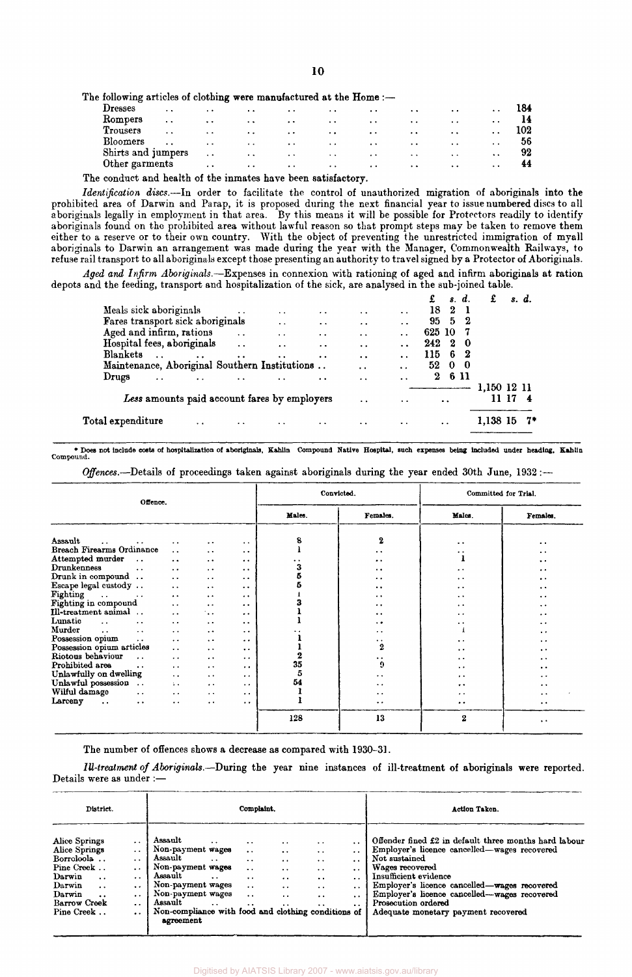The following articles of clothing were manufactured at the Home :-

| Dresses            | $\ddot{\phantom{1}}$ | $\ddot{\phantom{1}}$ | $\ddot{\phantom{1}}$ | $\sim$               | $\ddot{\phantom{1}}$ | $\cdots$             | $\ddot{\phantom{0}}$ | $\cdot$ .            | $\ddot{\phantom{a}}$ |    |
|--------------------|----------------------|----------------------|----------------------|----------------------|----------------------|----------------------|----------------------|----------------------|----------------------|----|
| Rompers            | $\cdot$ .            | $\ddot{\phantom{0}}$ | $\ddot{\phantom{1}}$ | $\cdot$ .            | $\ddot{\phantom{0}}$ | $\cdot$ $\cdot$      | $\ddot{\phantom{a}}$ | $\ddot{\phantom{0}}$ | $\cdot$ $\cdot$      |    |
| Trousers           | $\ddot{\phantom{1}}$ | $\ddot{\phantom{0}}$ | $\ddot{\phantom{a}}$ | $\ddot{\phantom{0}}$ | . .                  | $\cdot$ .            | $\cdot$ .            | $\cdot$ $\cdot$      | $\cdot$ $\cdot$      |    |
| Bloomers           | $\cdot$ .            | $\ddot{\phantom{0}}$ | $\ddot{\phantom{0}}$ | $\ddot{\phantom{1}}$ | $\ddot{\phantom{0}}$ | $\cdot$ $\cdot$      | $\ddot{\phantom{1}}$ | $\cdot$ .            | $\cdot$ .            | 56 |
| Shirts and jumpers |                      | $\ddot{\phantom{1}}$ | $\ddot{\phantom{1}}$ | $\ddot{\phantom{1}}$ | $\cdot$ $\cdot$      | $\ddot{\phantom{1}}$ | $\ddot{\phantom{1}}$ | $\ddot{\phantom{1}}$ | $\ddot{\phantom{1}}$ | 92 |
| Other garments     |                      | $\cdot$ $\cdot$      | $\cdot$ $\cdot$      | $\cdot$ .            | $\bullet$ .          | $\cdot$ $\cdot$      | $\cdots$             | $\ddot{\phantom{a}}$ | $\cdot$ $\cdot$      | 44 |
|                    |                      |                      |                      |                      |                      |                      |                      |                      |                      |    |

The conduct and health of the inmates have been satisfactory.

*Identification discs.*—In order to facilitate the control of unauthorized migration of aboriginals into the prohibited area of Darwin and Parap, it is proposed during the next financial year to issue numbered discs to all aboriginals legally in employment in that area. By this means it will be possible for Protectors readily to identify aboriginals found on the prohibited area without lawful reason so that prompt steps may be taken to remove them either to a reserve or to their own country. With the object of preventing the unrestricted immigration of myall aboriginals to Darwin an arrangement was made during the year with the Manager, Commonwealth Railways, to refuse rail transport to all aboriginals except those presenting an authority to travel signed by a Protector of Aboriginals.

*Aged and Infirm Aboriginals.*—Expenses in connexion with rationing of aged and infirm aboriginals at ration depots and the feeding, transport and hospitalization of the sick, are analysed in the sub-joined table.

|                                                       |                      |                      |                      |                      |                      | £        |                      | s. d. |             | s. d. |
|-------------------------------------------------------|----------------------|----------------------|----------------------|----------------------|----------------------|----------|----------------------|-------|-------------|-------|
| Meals sick aboriginals                                |                      | $\cdot$ .            | $\bullet$            | $\cdot$ $\cdot$      | $\ddot{\phantom{a}}$ | 18       | $\boldsymbol{2}$     |       |             |       |
| Fares transport sick aboriginals                      |                      | . .                  | $\ddot{\phantom{a}}$ | $\cdot$ .            | $\bullet$            | 95 5     |                      | - 2   |             |       |
| Aged and infirm, rations                              | $\ddot{\phantom{a}}$ | $\ddot{\phantom{a}}$ | $\cdot$ .            | $\cdot$ .            | $\cdot$ .            | 625 10   |                      |       |             |       |
| Hospital fees, aboriginals                            | $\ddotsc$            | $\ddot{\phantom{a}}$ | $\ddot{\phantom{a}}$ | $\cdot$ .            |                      | 242      | -2                   | - 0   |             |       |
| <b>Blankets</b><br>$\ddotsc$<br>$\ddot{\phantom{0}}$  | $\ddot{\phantom{0}}$ | $\ddot{\phantom{1}}$ | $\bullet$ $\bullet$  | $\ddot{\phantom{a}}$ |                      | 115      | 6                    | - 2   |             |       |
| Maintenance, Aboriginal Southern Institutions         |                      |                      |                      | $\cdot$ $\cdot$      | . .                  | 52       | $\mathbf{0}$         | - 0   |             |       |
| Drugs<br>$\ddot{\phantom{a}}$<br>$\ddot{\phantom{0}}$ | $\bullet$ $\bullet$  | $\ddot{\phantom{1}}$ | $\ddot{\phantom{a}}$ | $\bullet$            | $\ddot{\phantom{0}}$ | $\bf{2}$ |                      | 6 11  |             |       |
|                                                       |                      |                      |                      |                      |                      |          |                      |       | 1,150 12 11 |       |
| Less amounts paid account fares by employers          |                      |                      |                      | $\ddot{\phantom{0}}$ | $\ddot{\phantom{1}}$ |          | $\ddot{\phantom{1}}$ |       |             |       |
| Total expenditure<br>$\ddot{\phantom{a}}$             | $\bullet$            | $\ddot{\phantom{1}}$ |                      |                      |                      |          | $\ddot{\phantom{0}}$ |       | 1,138 15    | 7*    |
|                                                       |                      |                      |                      |                      |                      |          |                      |       |             |       |

\* Does not include costs of hospitalization of aboriginals, Kahlin Compound Native Hospital, such expenses being included under heading, Kahlin Compound.

*Offences,*—Details of proceedings taken against aboriginals during the year ended 30th June, 1932 :—

| Offence.                                                                                                                                                                                                                                                                                                                                                                                                                                                                                                                                                                                                                                                                                                                       |                                                                                                                                                                                                                                                                                                                                                                                                                |                                                                                                                                                                                                                                                                                                                                                                                                                          |                                                                                                                                                                                                                                                                                                                                                                                                                                       | Convicted.                   |                                                                                                                                                                                                                                                                    | Committed for Trial.                                                                                                                                                                         |                                                                                                                                                                                                                         |
|--------------------------------------------------------------------------------------------------------------------------------------------------------------------------------------------------------------------------------------------------------------------------------------------------------------------------------------------------------------------------------------------------------------------------------------------------------------------------------------------------------------------------------------------------------------------------------------------------------------------------------------------------------------------------------------------------------------------------------|----------------------------------------------------------------------------------------------------------------------------------------------------------------------------------------------------------------------------------------------------------------------------------------------------------------------------------------------------------------------------------------------------------------|--------------------------------------------------------------------------------------------------------------------------------------------------------------------------------------------------------------------------------------------------------------------------------------------------------------------------------------------------------------------------------------------------------------------------|---------------------------------------------------------------------------------------------------------------------------------------------------------------------------------------------------------------------------------------------------------------------------------------------------------------------------------------------------------------------------------------------------------------------------------------|------------------------------|--------------------------------------------------------------------------------------------------------------------------------------------------------------------------------------------------------------------------------------------------------------------|----------------------------------------------------------------------------------------------------------------------------------------------------------------------------------------------|-------------------------------------------------------------------------------------------------------------------------------------------------------------------------------------------------------------------------|
|                                                                                                                                                                                                                                                                                                                                                                                                                                                                                                                                                                                                                                                                                                                                |                                                                                                                                                                                                                                                                                                                                                                                                                |                                                                                                                                                                                                                                                                                                                                                                                                                          |                                                                                                                                                                                                                                                                                                                                                                                                                                       | Males.                       | Females.                                                                                                                                                                                                                                                           | Males.                                                                                                                                                                                       | Females.                                                                                                                                                                                                                |
| Assault<br>$\ddot{\phantom{a}}$<br>$\ddot{\phantom{a}}$<br>Breach Firearms Ordinance<br>Attempted murder<br><b>Drunkenness</b><br>$\ddot{\phantom{a}}$<br>Drunk in compound<br>Escape legal custody<br>Fighting<br>and the company of the company<br>Fighting in compound<br>Ill-treatment animal<br>Lunatic<br>$\sim$ $\sim$<br>$\ddot{\phantom{0}}$<br>Murder<br>$\ddot{\phantom{0}}$<br>$\ddot{\phantom{0}}$<br>Possession opium<br>$\sim$ $\sim$<br>Possession opium articles<br>Riotous behaviour<br>$\ddot{\phantom{a}}$<br>Prohibited area<br>$\ddot{\phantom{a}}$<br>Unlawfully on dwelling<br>Unlawful possession<br>Wilful damage<br>$\ddot{\phantom{0}}$<br>Larceny<br>$\ddot{\phantom{a}}$<br>$\ddot{\phantom{0}}$ | $\ddot{\phantom{0}}$<br>$\ddot{\phantom{a}}$<br>$\ddot{\phantom{0}}$<br>$\ddot{\phantom{0}}$<br>$\ddot{\phantom{a}}$<br>$\ddot{\phantom{a}}$<br>$\ddotsc$<br>$\ddot{\phantom{a}}$<br>$\ddot{\phantom{a}}$<br>$\ddotsc$<br>$\ddot{\phantom{a}}$<br>$\ddot{\phantom{a}}$<br>$\ddotsc$<br>$\ddot{\phantom{a}}$<br>$\ddot{\phantom{0}}$<br>$\ddotsc$<br>$\Delta$ .<br>$\ddot{\phantom{0}}$<br>$\ddot{\phantom{0}}$ | $\ddot{\phantom{1}}$<br>$\ddot{\phantom{1}}$<br>$\ddot{\phantom{0}}$<br>$\ddot{\phantom{1}}$<br>$\ddot{\phantom{0}}$<br>$\cdot$ .<br>$\ddot{\phantom{0}}$<br>$\ddot{\phantom{0}}$<br>٠.,<br>$\cdot$ $\cdot$<br>$\ddot{\phantom{0}}$<br>$\ddot{\phantom{0}}$<br>$\ddot{\phantom{1}}$<br>$\ddot{\phantom{0}}$<br>$\ddot{\phantom{0}}$<br>$\ddot{\phantom{0}}$<br>$\ddot{\phantom{1}}$<br>$\ddot{\phantom{1}}$<br>$\ddotsc$ | $\bullet$ $\bullet$<br>$\ddot{\phantom{0}}$<br>$\bullet$<br>$\bullet$ $\bullet$<br>$\ddot{\phantom{1}}$<br>$\ddot{\phantom{1}}$<br>$\bullet$ $\bullet$<br>$\cdot$ $\cdot$<br>$\ddot{\phantom{0}}$<br>$\ddot{\phantom{0}}$<br>$\bullet$ $\bullet$<br>$\ddot{\phantom{0}}$<br>$\ddot{\phantom{a}}$<br>$\ddot{\phantom{0}}$<br>$\ddot{\phantom{0}}$<br>$\ddot{\phantom{0}}$<br>$\ddot{\phantom{0}}$<br>$\bullet$<br>$\ddot{\phantom{0}}$ | 8<br>3<br>2<br>35<br>5<br>54 | $\bf{2}$<br>$\cdot$ .<br>. .<br>$\cdot$ .<br>. .<br>$\ddot{\phantom{1}}$<br>$\cdot$ .<br>. .<br><br>. .<br>$\ddot{\phantom{0}}$<br>$\ddot{\phantom{0}}$<br>$\mathbf{2}$<br>$\ddot{\phantom{0}}$<br>9<br>. .<br>. .<br>$\ddot{\phantom{1}}$<br>$\ddot{\phantom{1}}$ | . .<br>. .<br>. .<br>. .<br>. .<br>. .<br>. .<br>$\cdot$<br>. .<br>. .<br>. .<br>$\ddot{\phantom{0}}$<br>$\cdot$ $\cdot$<br>$\ddot{\phantom{1}}$<br>$\ddot{\phantom{0}}$<br>$\cdot$ .<br>. . | . .<br>. .<br>. .<br>$\ddot{\phantom{0}}$<br>. .<br>$\bullet$<br>. .<br>. .<br>. .<br>$\cdot$ .<br>$\ddot{\phantom{1}}$<br>. .<br>$\ddot{\phantom{1}}$<br>. .<br>. .<br>. .<br>$\ddot{\phantom{0}}$<br>. .<br>$\bullet$ |
|                                                                                                                                                                                                                                                                                                                                                                                                                                                                                                                                                                                                                                                                                                                                |                                                                                                                                                                                                                                                                                                                                                                                                                |                                                                                                                                                                                                                                                                                                                                                                                                                          |                                                                                                                                                                                                                                                                                                                                                                                                                                       | 128                          | 13                                                                                                                                                                                                                                                                 | $\bf{2}$                                                                                                                                                                                     | $\ddot{\phantom{1}}$                                                                                                                                                                                                    |

The number of offences shows a decrease as compared with 1930-31.

*Ill-treatment of Aboriginals.*—During the year nine instances of ill-treatment of aboriginals were reported. Details were as under :—

| District.                                                                                                                                                            | Complaint.                                                                                                                                                                     |                                                                                                                                                                                                  |                                                                                   |                                                                                                                                                                                         |                                                                                                   |                                                                                                                                  |                                                                                                                                                             | Action Taken.                                                                                                                                                                                                                                                                                                                    |
|----------------------------------------------------------------------------------------------------------------------------------------------------------------------|--------------------------------------------------------------------------------------------------------------------------------------------------------------------------------|--------------------------------------------------------------------------------------------------------------------------------------------------------------------------------------------------|-----------------------------------------------------------------------------------|-----------------------------------------------------------------------------------------------------------------------------------------------------------------------------------------|---------------------------------------------------------------------------------------------------|----------------------------------------------------------------------------------------------------------------------------------|-------------------------------------------------------------------------------------------------------------------------------------------------------------|----------------------------------------------------------------------------------------------------------------------------------------------------------------------------------------------------------------------------------------------------------------------------------------------------------------------------------|
| Alice Springs<br>Alice Springs<br>Borroloola<br>Pine Creek<br>Darwin<br>$\ddotsc$<br>Darwin<br>$\ddotsc$<br>Darwin<br>$\ddot{\bullet}$<br>Barrow Creek<br>Pine Creek | $\ddot{\phantom{1}}$<br>$\ddot{\phantom{0}}$<br>$\cdot$ $\cdot$<br>$\ddot{\phantom{0}}$<br>$\cdot$ .<br>$\ddot{\phantom{0}}$<br>$\cdot$ .<br>$\cdot$ .<br>$\ddot{\phantom{0}}$ | Assault<br>Non-payment wages<br>Assault<br>Non-payment wages<br>Assault<br>Non-payment wages<br>Non-payment wages<br>Assault<br>Non-compliance with food and clothing conditions of<br>agreement | $\ddot{\phantom{1}}$<br>$\ddot{\phantom{0}}$<br>$\cdot$ .<br>$\ddot{\phantom{1}}$ | $\ddot{\phantom{0}}$<br>$\ddot{\phantom{0}}$<br>$\cdot$ $\cdot$<br>$\ddot{\phantom{a}}$<br>$\ddot{\phantom{0}}$<br>$\ddot{\phantom{0}}$<br>$\ddot{\phantom{1}}$<br>$\ddot{\phantom{0}}$ | $\cdots$<br>$\cdot$ .<br>$\cdots$<br>$\cdot$ $\cdot$<br>$\cdot$ .<br>$\cdot$ .<br>. .<br>$\cdots$ | $\bullet$<br>$\ddot{\phantom{a}}$<br>$\cdot$ .<br>$\cdot$ .<br>$\ddot{\phantom{a}}$<br>$\cdot$ .<br>$\cdot$ $\cdot$<br>$\cdot$ . | $\ddot{\phantom{0}}$<br>$\ddot{\phantom{0}}$<br>$\cdot$ $\cdot$<br>$\ddot{\phantom{0}}$<br>. .<br>$\ddot{\phantom{0}}$<br>$\ddot{\phantom{1}}$<br>$\cdot$ . | Offender fined £2 in default three months hard labour<br>Employer's licence cancelled—wages recovered<br>Not sustained<br>Wages recovered<br>Insufficient evidence<br>Employer's licence cancelled—wages recovered<br>Employer's licence cancelled—wages recovered<br>Prosecution ordered<br>Adequate monetary payment recovered |